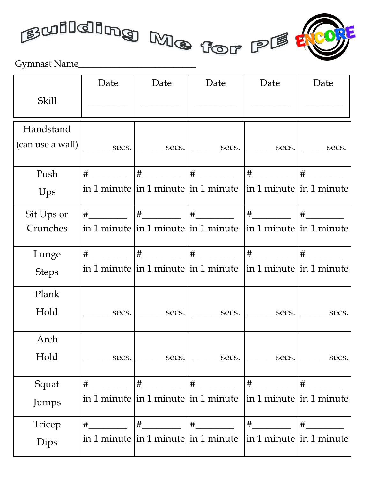



|                  | Date | Date | Date                                                                                                                                                                                                                                                                                                                                                                                                                                                   | Date | Date |
|------------------|------|------|--------------------------------------------------------------------------------------------------------------------------------------------------------------------------------------------------------------------------------------------------------------------------------------------------------------------------------------------------------------------------------------------------------------------------------------------------------|------|------|
| Skill            |      |      |                                                                                                                                                                                                                                                                                                                                                                                                                                                        |      |      |
| Handstand        |      |      |                                                                                                                                                                                                                                                                                                                                                                                                                                                        |      |      |
| (can use a wall) |      |      | $\frac{1}{\sqrt{1-\frac{1}{2}}\sec^{-1}(1-\sec^{-1}(1-\sec^{-1}(1-\sec^{-1}(1-\sec^{-1}(1-\sec^{-1}(1-\sec^{-1}(1-\sec^{-1}(1-\sec^{-1}(1-\sec^{-1}(1-\sec^{-1}(1-\sec^{-1}(1-\sec^{-1}(1-\sec^{-1}(1-\sec^{-1}(1-\sec^{-1}(1-\sec^{-1}(1-\sec^{-1}(1-\sec^{-1}(1-\sec^{-1}(1-\sec^{-1}(1-\sec^{-1}(1-\sec^{-1}(1-\sec^{-1}(1-\sec^{-1}(1-\sec^{-1}(1-\sec^{-1}(1-\sec^{-1}(1-\sec^{-1}(1-\sec^{-1}(1-\sec^{-1}(1-\sec^{-1}(1-\sec^{-1}(1-\sec^{-1}(1$ |      |      |
| Push             |      |      |                                                                                                                                                                                                                                                                                                                                                                                                                                                        |      |      |
| Ups              |      |      | in 1 minute $\ln 1$ minute $\ln 1$ minute $\ln 1$ minute $\ln 1$ minute                                                                                                                                                                                                                                                                                                                                                                                |      |      |
| Sit Ups or       |      |      |                                                                                                                                                                                                                                                                                                                                                                                                                                                        |      |      |
| Crunches         |      |      | in 1 minute in 1 minute $\ln 1$ minute $\ln 1$ minute $\ln 1$ minute                                                                                                                                                                                                                                                                                                                                                                                   |      |      |
| Lunge            |      |      |                                                                                                                                                                                                                                                                                                                                                                                                                                                        |      |      |
| <b>Steps</b>     |      |      | in 1 minute in 1 minute in 1 minute $\vert$ in 1 minute $\vert$ in 1 minute                                                                                                                                                                                                                                                                                                                                                                            |      |      |
| Plank            |      |      |                                                                                                                                                                                                                                                                                                                                                                                                                                                        |      |      |
| Hold             |      |      |                                                                                                                                                                                                                                                                                                                                                                                                                                                        |      |      |
| Arch             |      |      |                                                                                                                                                                                                                                                                                                                                                                                                                                                        |      |      |
| Hold             |      |      |                                                                                                                                                                                                                                                                                                                                                                                                                                                        |      |      |
| Squat            |      |      |                                                                                                                                                                                                                                                                                                                                                                                                                                                        |      |      |
| Jumps            |      |      | in 1 minute in 1 minute in 1 minute $\vert$ in 1 minute $\vert$ in 1 minute                                                                                                                                                                                                                                                                                                                                                                            |      |      |
| Tricep           |      |      |                                                                                                                                                                                                                                                                                                                                                                                                                                                        |      |      |
| Dips             |      |      | in 1 minute in 1 minute in 1 minute $\vert$ in 1 minute $\vert$ in 1 minute                                                                                                                                                                                                                                                                                                                                                                            |      |      |